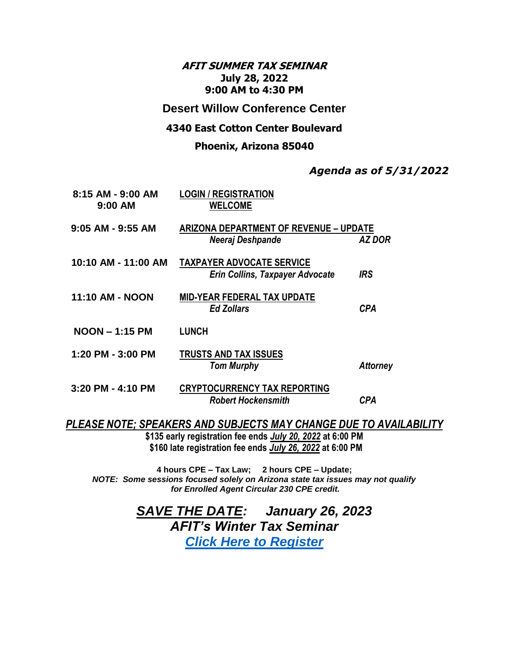## **AFIT SUMMER TAX SEMINAR July 28, 2022 9:00 AM to 4:30 PM**

## **Desert Willow Conference Center**

### **4340 East Cotton Center Boulevard**

#### **Phoenix, Arizona 85040**

## *Agenda as of 5/31/2022*

| 8:15 AM - 9:00 AM<br>9:00 AM                                      | <b>LOGIN / REGISTRATION</b><br><b>WELCOME</b>                              |                 |
|-------------------------------------------------------------------|----------------------------------------------------------------------------|-----------------|
| $9:05$ AM - $9:55$ AM                                             | <b>ARIZONA DEPARTMENT OF REVENUE - UPDATE</b><br>Neeraj Deshpande          | <b>AZ DOR</b>   |
| 10:10 AM - 11:00 AM                                               | <b>TAXPAYER ADVOCATE SERVICE</b><br><b>Erin Collins, Taxpayer Advocate</b> | <b>IRS</b>      |
| 11:10 AM - NOON                                                   | <b>MID-YEAR FEDERAL TAX UPDATE</b><br><b>Ed Zollars</b>                    | <b>CPA</b>      |
| $NOON - 1:15 PM$                                                  | <b>LUNCH</b>                                                               |                 |
| 1:20 PM - 3:00 PM                                                 | <b>TRUSTS AND TAX ISSUES</b><br><b>Tom Murphy</b>                          | <b>Attorney</b> |
| 3:20 PM - 4:10 PM                                                 | <b>CRYPTOCURRENCY TAX REPORTING</b><br><b>Robert Hockensmith</b>           | <b>CPA</b>      |
| PLEASE NOTE; SPEAKERS AND SUBJECTS MAY CHANGE DUE TO AVAILABILITY |                                                                            |                 |

**\$135 early registration fee ends** *July 20, 2022* **at 6:00 PM \$160 late registration fee ends** *July 26, 2022* **at 6:00 PM**

**4 hours CPE – Tax Law; 2 hours CPE – Update;**  *NOTE: Some sessions focused solely on Arizona state tax issues may not qualify for Enrolled Agent Circular 230 CPE credit.*

> *SAVE THE DATE: January 26, 2023 AFIT's Winter Tax Seminar [Click Here to Register](https://events.eventzilla.net/e/2022--afit-summer-seminarwebinar-thursday-july-28-2022-2138581898)*